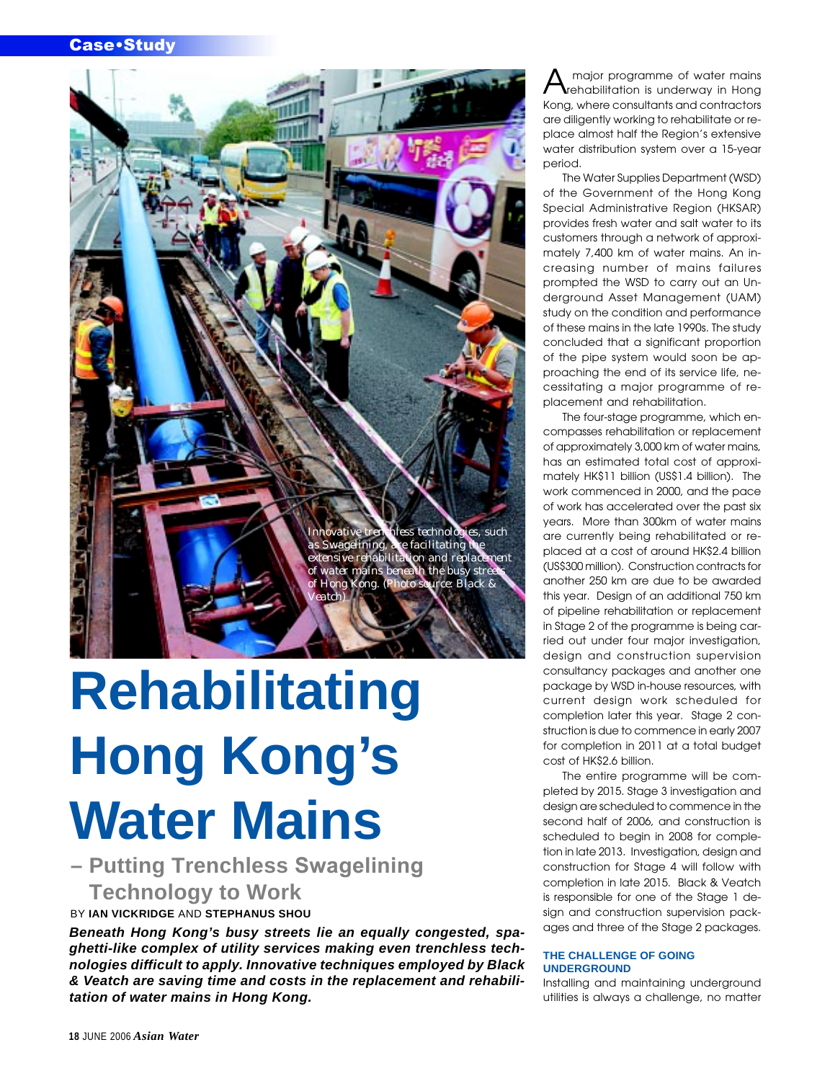

# **Rehabilitating Hong Kong's Water Mains**

**– Putting Trenchless Swagelining Technology to Work** BY **IAN VICKRIDGE** AND **STEPHANUS SHOU**

**Beneath Hong Kong's busy streets lie an equally congested, spaghetti-like complex of utility services making even trenchless technologies difficult to apply. Innovative techniques employed by Black & Veatch are saving time and costs in the replacement and rehabilitation of water mains in Hong Kong.**

major programme of water mains rehabilitation is underway in Hong Kong, where consultants and contractors are diligently working to rehabilitate or replace almost half the Region's extensive water distribution system over a 15-year period.

The Water Supplies Department (WSD) of the Government of the Hong Kong Special Administrative Region (HKSAR) provides fresh water and salt water to its customers through a network of approximately 7,400 km of water mains. An increasing number of mains failures prompted the WSD to carry out an Underground Asset Management (UAM) study on the condition and performance of these mains in the late 1990s. The study concluded that a significant proportion of the pipe system would soon be approaching the end of its service life, necessitating a major programme of replacement and rehabilitation.

The four-stage programme, which encompasses rehabilitation or replacement of approximately 3,000 km of water mains, has an estimated total cost of approximately HK\$11 billion (US\$1.4 billion). The work commenced in 2000, and the pace of work has accelerated over the past six years. More than 300km of water mains are currently being rehabilitated or replaced at a cost of around HK\$2.4 billion (US\$300 million). Construction contracts for another 250 km are due to be awarded this year. Design of an additional 750 km of pipeline rehabilitation or replacement in Stage 2 of the programme is being carried out under four major investigation, design and construction supervision consultancy packages and another one package by WSD in-house resources, with current design work scheduled for completion later this year. Stage 2 construction is due to commence in early 2007 for completion in 2011 at a total budget cost of HK\$2.6 billion.

The entire programme will be completed by 2015. Stage 3 investigation and design are scheduled to commence in the second half of 2006, and construction is scheduled to begin in 2008 for completion in late 2013. Investigation, design and construction for Stage 4 will follow with completion in late 2015. Black & Veatch is responsible for one of the Stage 1 design and construction supervision packages and three of the Stage 2 packages.

### **THE CHALLENGE OF GOING UNDERGROUND**

Installing and maintaining underground utilities is always a challenge, no matter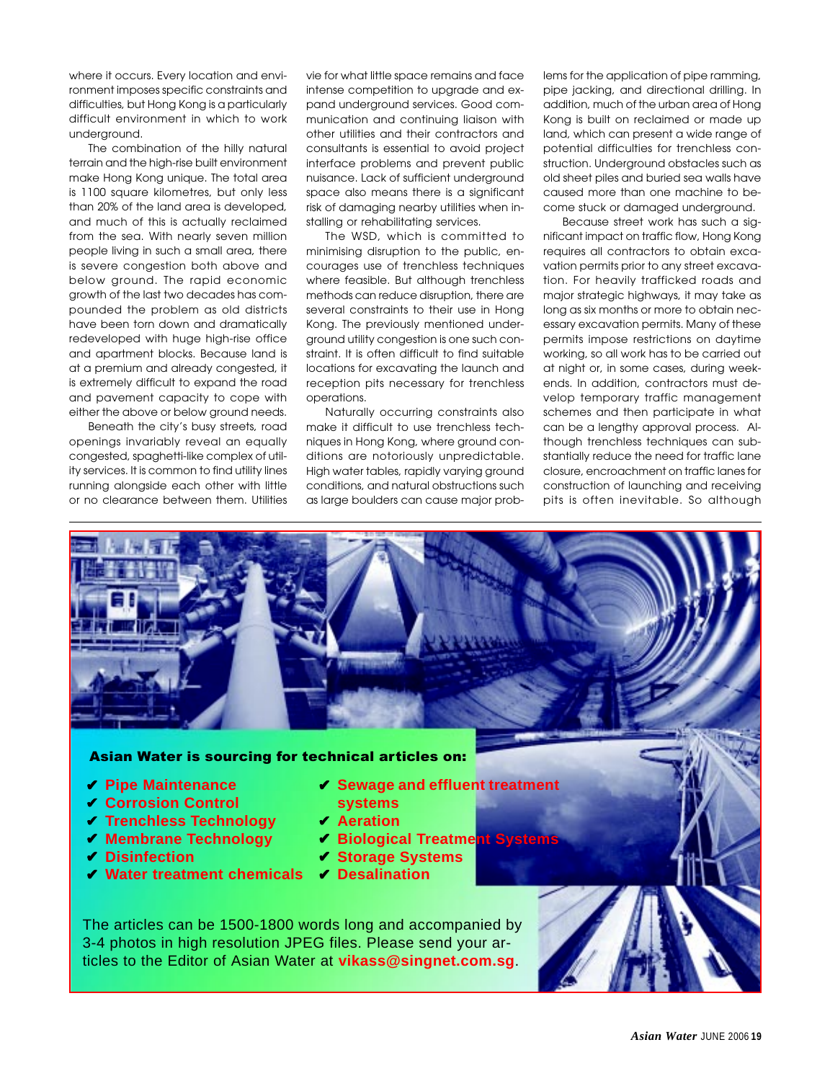where it occurs. Every location and environment imposes specific constraints and difficulties, but Hong Kong is a particularly difficult environment in which to work underground.

The combination of the hilly natural terrain and the high-rise built environment make Hong Kong unique. The total area is 1100 square kilometres, but only less than 20% of the land area is developed, and much of this is actually reclaimed from the sea. With nearly seven million people living in such a small area, there is severe congestion both above and below ground. The rapid economic growth of the last two decades has compounded the problem as old districts have been torn down and dramatically redeveloped with huge high-rise office and apartment blocks. Because land is at a premium and already congested, it is extremely difficult to expand the road and pavement capacity to cope with either the above or below ground needs.

Beneath the city's busy streets, road openings invariably reveal an equally congested, spaghetti-like complex of utility services. It is common to find utility lines running alongside each other with little or no clearance between them. Utilities

vie for what little space remains and face intense competition to upgrade and expand underground services. Good communication and continuing liaison with other utilities and their contractors and consultants is essential to avoid project interface problems and prevent public nuisance. Lack of sufficient underground space also means there is a significant risk of damaging nearby utilities when installing or rehabilitating services.

The WSD, which is committed to minimising disruption to the public, encourages use of trenchless techniques where feasible. But although trenchless methods can reduce disruption, there are several constraints to their use in Hong Kong. The previously mentioned underground utility congestion is one such constraint. It is often difficult to find suitable locations for excavating the launch and reception pits necessary for trenchless operations.

Naturally occurring constraints also make it difficult to use trenchless techniques in Hong Kong, where ground conditions are notoriously unpredictable. High water tables, rapidly varying ground conditions, and natural obstructions such as large boulders can cause major problems for the application of pipe ramming, pipe jacking, and directional drilling. In addition, much of the urban area of Hong Kong is built on reclaimed or made up land, which can present a wide range of potential difficulties for trenchless construction. Underground obstacles such as old sheet piles and buried sea walls have caused more than one machine to become stuck or damaged underground.

Because street work has such a significant impact on traffic flow, Hong Kong requires all contractors to obtain excavation permits prior to any street excavation. For heavily trafficked roads and major strategic highways, it may take as long as six months or more to obtain necessary excavation permits. Many of these permits impose restrictions on daytime working, so all work has to be carried out at night or, in some cases, during weekends. In addition, contractors must develop temporary traffic management schemes and then participate in what can be a lengthy approval process. Although trenchless techniques can substantially reduce the need for traffic lane closure, encroachment on traffic lanes for construction of launching and receiving pits is often inevitable. So although

# Asian Water is sourcing for technical articles on:

- ✔ **Pipe Maintenance**
- ✔ **Corrosion Control**
- ✔ **Trenchless Technology**
- ✔ **Membrane Technology**
- ✔ **Disinfection**
- ✔ **Sewage and effluent treatment systems**
- ✔ **Aeration**
- ✔ **Biological Treatment Systems**
- ✔ **Storage Systems**
- ✔ **Water treatment chemicals** ✔ **Desalination**

The articles can be 1500-1800 words long and accompanied by 3-4 photos in high resolution JPEG files. Please send your articles to the Editor of Asian Water at **vikass@singnet.com.sg**.